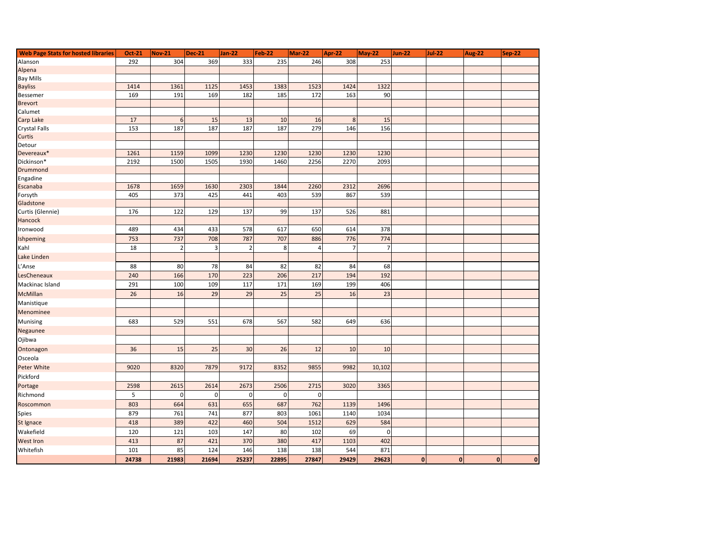| <b>Web Page Stats for hosted libraries</b> | Oct-21 | <b>Nov-21</b>  | <b>Dec-21</b> | Jan-22         | Feb-22      | Mar-22 | Apr-22  | <b>May-22</b>  | <b>Jun-22</b> | <b>Jul-22</b> | Aug-22       | <b>Sep-22</b>  |
|--------------------------------------------|--------|----------------|---------------|----------------|-------------|--------|---------|----------------|---------------|---------------|--------------|----------------|
| Alanson                                    | 292    | 304            | 369           | 333            | 235         | 246    | 308     | 253            |               |               |              |                |
| Alpena                                     |        |                |               |                |             |        |         |                |               |               |              |                |
| <b>Bay Mills</b>                           |        |                |               |                |             |        |         |                |               |               |              |                |
| <b>Bayliss</b>                             | 1414   | 1361           | 1125          | 1453           | 1383        | 1523   | 1424    | 1322           |               |               |              |                |
| Bessemer                                   | 169    | 191            | 169           | 182            | 185         | 172    | 163     | 90             |               |               |              |                |
| <b>Brevort</b>                             |        |                |               |                |             |        |         |                |               |               |              |                |
| Calumet                                    |        |                |               |                |             |        |         |                |               |               |              |                |
| Carp Lake                                  | 17     | 6              | 15            | 13             | 10          | 16     | $\bf 8$ | 15             |               |               |              |                |
| <b>Crystal Falls</b>                       | 153    | 187            | 187           | 187            | 187         | 279    | 146     | 156            |               |               |              |                |
| Curtis                                     |        |                |               |                |             |        |         |                |               |               |              |                |
| Detour                                     |        |                |               |                |             |        |         |                |               |               |              |                |
| Devereaux*                                 | 1261   | 1159           | 1099          | 1230           | 1230        | 1230   | 1230    | 1230           |               |               |              |                |
| Dickinson*                                 | 2192   | 1500           | 1505          | 1930           | 1460        | 2256   | 2270    | 2093           |               |               |              |                |
| Drummond<br>Engadine                       |        |                |               |                |             |        |         |                |               |               |              |                |
| Escanaba                                   | 1678   | 1659           | 1630          | 2303           | 1844        | 2260   | 2312    | 2696           |               |               |              |                |
| Forsyth                                    | 405    | 373            | 425           | 441            | 403         | 539    | 867     | 539            |               |               |              |                |
| Gladstone                                  |        |                |               |                |             |        |         |                |               |               |              |                |
| Curtis (Glennie)                           | 176    | 122            | 129           | 137            | 99          | 137    | 526     | 881            |               |               |              |                |
| Hancock                                    |        |                |               |                |             |        |         |                |               |               |              |                |
| Ironwood                                   | 489    | 434            | 433           | 578            | 617         | 650    | 614     | 378            |               |               |              |                |
| Ishpeming                                  | 753    | 737            | 708           | 787            | 707         | 886    | 776     | 774            |               |               |              |                |
| Kahl                                       | 18     | $\overline{2}$ | $\mathsf 3$   | $\overline{2}$ | 8           | 4      | 7       | $\overline{7}$ |               |               |              |                |
| Lake Linden                                |        |                |               |                |             |        |         |                |               |               |              |                |
| L'Anse                                     | 88     | 80             | 78            | 84             | 82          | 82     | 84      | 68             |               |               |              |                |
| LesCheneaux                                | 240    | 166            | 170           | 223            | 206         | 217    | 194     | 192            |               |               |              |                |
| Mackinac Island                            | 291    | 100            | 109           | 117            | 171         | 169    | 199     | 406            |               |               |              |                |
| <b>McMillan</b>                            | 26     | 16             | 29            | 29             | 25          | 25     | 16      | 23             |               |               |              |                |
| Manistique                                 |        |                |               |                |             |        |         |                |               |               |              |                |
| Menominee                                  |        |                |               |                |             |        |         |                |               |               |              |                |
| Munising                                   | 683    | 529            | 551           | 678            | 567         | 582    | 649     | 636            |               |               |              |                |
| Negaunee                                   |        |                |               |                |             |        |         |                |               |               |              |                |
| Ojibwa                                     |        |                |               |                |             |        |         |                |               |               |              |                |
| Ontonagon                                  | 36     | 15             | 25            | 30             | 26          | 12     | 10      | 10             |               |               |              |                |
| Osceola                                    |        |                |               |                |             |        |         |                |               |               |              |                |
| Peter White                                | 9020   | 8320           | 7879          | 9172           | 8352        | 9855   | 9982    | 10,102         |               |               |              |                |
| Pickford                                   |        |                |               |                |             |        |         |                |               |               |              |                |
| Portage                                    | 2598   | 2615           | 2614          | 2673           | 2506        | 2715   | 3020    | 3365           |               |               |              |                |
| Richmond                                   | 5      | $\mathbf 0$    | $\mathbf 0$   | $\mathbf 0$    | $\mathbf 0$ | 0      |         |                |               |               |              |                |
| Roscommon                                  | 803    | 664            | 631           | 655            | 687         | 762    | 1139    | 1496           |               |               |              |                |
| Spies                                      | 879    | 761            | 741           | 877            | 803         | 1061   | 1140    | 1034           |               |               |              |                |
| St Ignace                                  | 418    | 389            | 422           | 460            | 504         | 1512   | 629     | 584            |               |               |              |                |
| Wakefield                                  | 120    | 121            | 103           | 147            | 80          | 102    | 69      | $\pmb{0}$      |               |               |              |                |
| <b>West Iron</b>                           | 413    | 87             | 421           | 370            | 380         | 417    | 1103    | 402            |               |               |              |                |
| Whitefish                                  | 101    | 85             | 124           | 146            | 138         | 138    | 544     | 871            |               |               |              |                |
|                                            | 24738  | 21983          | 21694         | 25237          | 22895       | 27847  | 29429   | 29623          | $\mathbf{0}$  | $\mathbf{0}$  | $\mathbf{0}$ | $\overline{0}$ |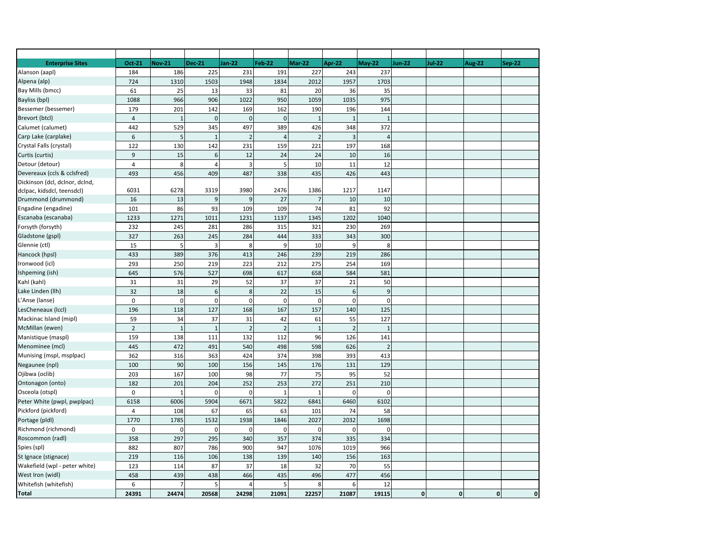| <b>Enterprise Sites</b>                   | Oct-21         | <b>Nov-21</b>  | <b>Dec-21</b>  | <b>Jan-22</b>  | <b>Feb-22</b>  | Mar-22                   | <b>Apr-22</b>    | <b>May-22</b>  | <b>Jun-22</b> | <b>Jul-22</b> | <b>Aug-22</b> | <b>Sep-22</b> |
|-------------------------------------------|----------------|----------------|----------------|----------------|----------------|--------------------------|------------------|----------------|---------------|---------------|---------------|---------------|
| Alanson (aapl)                            | 184            | 186            | 225            | 231            | 191            | 227                      | 243              | 237            |               |               |               |               |
| Alpena (alp)                              | 724            | 1310           | 1503           | 1948           | 1834           | 2012                     | 1957             | 1703           |               |               |               |               |
| Bay Mills (bmcc)                          | 61             | 25             | 13             | 33             | 81             | 20                       | 36               | 35             |               |               |               |               |
| Bayliss (bpl)                             | 1088           | 966            | 906            | 1022           | 950            | 1059                     | 1035             | 975            |               |               |               |               |
| Bessemer (bessemer)                       | 179            | 201            | 142            | 169            | 162            | 190                      | 196              | 144            |               |               |               |               |
| Brevort (btcl)                            | $\overline{4}$ | $\overline{1}$ | $\mathbf 0$    | $\mathbf{0}$   | $\mathbf{0}$   | $\mathbf{1}$             | $\mathbf{1}$     | $\overline{1}$ |               |               |               |               |
| Calumet (calumet)                         | 442            | 529            | 345            | 497            | 389            | 426                      | 348              | 372            |               |               |               |               |
| Carp Lake (carplake)                      | 6              | 5              | $\overline{1}$ | $\overline{2}$ | $\overline{4}$ | $\overline{\phantom{0}}$ | $\overline{3}$   | $\overline{4}$ |               |               |               |               |
| Crystal Falls (crystal)                   | 122            | 130            | 142            | 231            | 159            | 221                      | 197              | 168            |               |               |               |               |
| Curtis (curtis)                           | 9              | 15             | $6\,$          | 12             | 24             | 24                       | 10               | 16             |               |               |               |               |
| Detour (detour)                           | $\overline{4}$ | 8              | $\overline{4}$ | $\overline{3}$ | 5              | 10                       | 11               | 12             |               |               |               |               |
| Devereaux (ccls & cclsfred)               | 493            | 456            | 409            | 487            | 338            | 435                      | 426              | 443            |               |               |               |               |
| Dickinson (dcl, dclnor, dclnd,            |                |                |                |                |                |                          |                  |                |               |               |               |               |
| dclpac, kidsdcl, teensdcl)                | 6031           | 6278           | 3319           | 3980           | 2476           | 1386                     | 1217             | 1147           |               |               |               |               |
| Drummond (drummond)                       | 16             | 13             | 9              | $\overline{9}$ | 27             | $\overline{7}$           | 10               | 10             |               |               |               |               |
| Engadine (engadine)                       | 101            | 86             | 93             | 109            | 109            | 74                       | 81               | 92             |               |               |               |               |
| Escanaba (escanaba)                       | 1233           | 1271           | 1011           | 1231           | 1137           | 1345                     | 1202             | 1040           |               |               |               |               |
| Forsyth (forsyth)                         | 232            | 245            | 281            | 286            | 315            | 321                      | 230              | 269            |               |               |               |               |
| Gladstone (gspl)                          | 327            | 263            | 245            | 284            | 444            | 333                      | 343              | 300            |               |               |               |               |
| Glennie (ctl)                             | 15             | þ              | $\overline{3}$ | 8              | 9              | 10                       | 9                | 8              |               |               |               |               |
| Hancock (hpsl)                            | 433            | 389            | 376            | 413            | 246            | 239                      | 219              | 286            |               |               |               |               |
| Ironwood (icl)                            | 293            | 250            | 219            | 223            | 212            | 275                      | 254              | 169            |               |               |               |               |
| Ishpeming (ish)                           | 645            | 576            | 527            | 698            | 617            | 658                      | 584              | 581            |               |               |               |               |
| Kahl (kahl)                               | 31             | 31             | 29             | 52             | 37             | 37                       | 21               | 50             |               |               |               |               |
| Lake Linden (Ilh)                         | 32             | 18             | 6              | $\bf 8$        | 22             | 15                       | $\boldsymbol{6}$ | 9              |               |               |               |               |
| L'Anse (lanse)                            | $\mathsf 0$    | $\mathbf 0$    | $\mathbf 0$    | $\mathbf{0}$   | $\mathbf 0$    | $\mathbf 0$              | $\mathbf 0$      | $\mathbf 0$    |               |               |               |               |
| LesCheneaux (Iccl)                        | 196            | 118            | 127            | 168            | 167            | 157                      | 140              | 125            |               |               |               |               |
| Mackinac Island (mipl)                    | 59             | 34             | 37             | 31             | 42             | 61                       | 55               | 127            |               |               |               |               |
| McMillan (ewen)                           | $\overline{2}$ | $\overline{1}$ | $\overline{1}$ | $\overline{2}$ | $\overline{2}$ | 1                        | $\overline{2}$   | $\overline{1}$ |               |               |               |               |
| Manistique (maspl)                        | 159            | 138            | 111            | 132            | 112            | 96                       | 126              | 141            |               |               |               |               |
| Menominee (mcl)                           | 445            | 472            | 491            | 540            | 498            | 598                      | 626              | $\overline{z}$ |               |               |               |               |
| Munising (mspl, msplpac)                  | 362            | 316            | 363            | 424            | 374            | 398                      | 393              | 413            |               |               |               |               |
| Negaunee (npl)                            | 100            | 90             | 100            | 156            | 145            | 176                      | 131              | 129            |               |               |               |               |
| Ojibwa (oclib)                            | 203            | 167            | 100            | 98             | 77             | 75                       | 95               | 52             |               |               |               |               |
| Ontonagon (onto)                          | 182            | 201            | 204            | 252            | 253            | 272                      | 251              | 210            |               |               |               |               |
| Osceola (otspl)                           | $\mathbf 0$    | $\overline{1}$ | $\Omega$       | $\mathbf 0$    | $\mathbf{1}$   | 1                        | $\mathbf 0$      | $\Omega$       |               |               |               |               |
| Peter White (pwpl, pwplpac)               | 6158           | 6006           | 5904           | 6671           | 5822           | 6841                     | 6460             | 6102           |               |               |               |               |
| Pickford (pickford)                       | $\overline{4}$ | 108            | 67             | 65             | 63             | 101                      | 74               | 58             |               |               |               |               |
| Portage (pldl)                            | 1770           | 1785           | 1532           | 1938           | 1846           | 2027                     | 2032             | 1698           |               |               |               |               |
| Richmond (richmond)                       | $\mathsf 0$    | $\mathsf{C}$   | <sup>0</sup>   | $\overline{0}$ | $\mathbf 0$    | $\mathbf 0$              | $\mathbf 0$      | $\mathbf 0$    |               |               |               |               |
| Roscommon (radl)                          | 358            | 297            | 295            | 340            | 357            | 374                      | 335              | 334            |               |               |               |               |
| Spies (spl)                               | 882            | 807            | 786            | 900            | 947            | 1076                     | 1019             | 966            |               |               |               |               |
| St Ignace (stignace)                      | 219            | 116            | 106            | 138            | 139            | 140                      | 156              | 163            |               |               |               |               |
|                                           | 123            | 114            | 87             | 37             | 18             | 32                       | 70               | 55             |               |               |               |               |
|                                           |                |                |                |                |                |                          |                  |                |               |               |               |               |
| Wakefield (wpl - peter white)             |                |                |                |                |                |                          |                  |                |               |               |               |               |
| West Iron (widl)<br>Whitefish (whitefish) | 458<br>6       | 439<br>-7      | 438<br>5       | 466<br>4       | 435<br>5       | 496<br>8                 | 477<br>6         | 456<br>12      |               |               |               |               |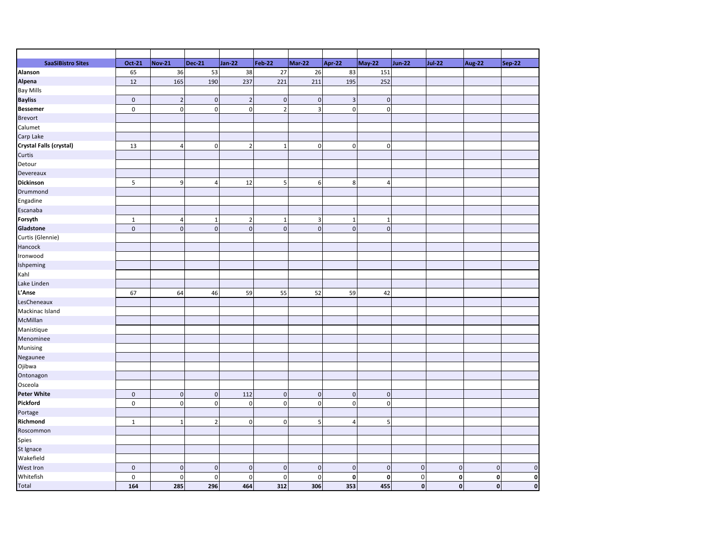| <b>SaaSiBistro Sites</b> | Oct-21       | <b>Nov-21</b>  | <b>Dec-21</b>  | <b>Jan-22</b>  | <b>Feb-22</b>           | Mar-22                  | Apr-22         | <b>May-22</b> | <b>Jun-22</b>  | <b>Jul-22</b>  | <b>Aug-22</b>      | <b>Sep-22</b> |
|--------------------------|--------------|----------------|----------------|----------------|-------------------------|-------------------------|----------------|---------------|----------------|----------------|--------------------|---------------|
| Alanson                  | 65           | 36             | 53             | 38             | 27                      | 26                      | 83             | 151           |                |                |                    |               |
| Alpena                   | 12           | 165            | 190            | 237            | 221                     | 211                     | 195            | 252           |                |                |                    |               |
| <b>Bay Mills</b>         |              |                |                |                |                         |                         |                |               |                |                |                    |               |
| <b>Bayliss</b>           | $\mathbf 0$  | $\overline{2}$ | $\pmb{0}$      | $\overline{2}$ | $\mathbf 0$             | $\pmb{0}$               | $\mathbf{3}$   | $\mathbf 0$   |                |                |                    |               |
| <b>Bessemer</b>          | $\mathsf 0$  | $\mathbf 0$    | $\pmb{0}$      | $\mathbf 0$    | $\overline{2}$          | $\overline{\mathbf{3}}$ | $\mathbf 0$    | $\mathbf 0$   |                |                |                    |               |
| Brevort                  |              |                |                |                |                         |                         |                |               |                |                |                    |               |
| Calumet                  |              |                |                |                |                         |                         |                |               |                |                |                    |               |
| Carp Lake                |              |                |                |                |                         |                         |                |               |                |                |                    |               |
| Crystal Falls (crystal)  | 13           | $\overline{4}$ | $\pmb{0}$      | $\overline{2}$ | $\mathbf{1}$            | $\mathbf 0$             | $\mathbf 0$    | $\mathbf 0$   |                |                |                    |               |
| Curtis                   |              |                |                |                |                         |                         |                |               |                |                |                    |               |
| Detour                   |              |                |                |                |                         |                         |                |               |                |                |                    |               |
| Devereaux                |              |                |                |                |                         |                         |                |               |                |                |                    |               |
| Dickinson                | 5            | 9              | $\overline{4}$ | 12             | $\overline{\mathbf{5}}$ | 6                       | 8              | 4             |                |                |                    |               |
| Drummond                 |              |                |                |                |                         |                         |                |               |                |                |                    |               |
| Engadine                 |              |                |                |                |                         |                         |                |               |                |                |                    |               |
| Escanaba                 |              |                |                |                |                         |                         |                |               |                |                |                    |               |
| Forsyth                  | $\mathbf{1}$ | $\overline{4}$ | $\mathbf{1}$   | $\overline{2}$ | $\mathbf{1}$            | $\overline{\mathbf{3}}$ | $\mathbf{1}$   | $\mathbf{1}$  |                |                |                    |               |
| Gladstone                | $\mathbf{0}$ | $\overline{0}$ | $\mathbf{0}$   | $\mathbf 0$    | $\mathbf{0}$            | $\mathbf{0}$            | $\mathbf{0}$   | $\mathbf{0}$  |                |                |                    |               |
| Curtis (Glennie)         |              |                |                |                |                         |                         |                |               |                |                |                    |               |
| Hancock                  |              |                |                |                |                         |                         |                |               |                |                |                    |               |
| Ironwood                 |              |                |                |                |                         |                         |                |               |                |                |                    |               |
| Ishpeming                |              |                |                |                |                         |                         |                |               |                |                |                    |               |
| Kahl                     |              |                |                |                |                         |                         |                |               |                |                |                    |               |
| Lake Linden              |              |                |                |                |                         |                         |                |               |                |                |                    |               |
| L'Anse                   | 67           | 64             | 46             | 59             | 55                      | 52                      | 59             | 42            |                |                |                    |               |
| LesCheneaux              |              |                |                |                |                         |                         |                |               |                |                |                    |               |
| Mackinac Island          |              |                |                |                |                         |                         |                |               |                |                |                    |               |
| McMillan                 |              |                |                |                |                         |                         |                |               |                |                |                    |               |
| Manistique               |              |                |                |                |                         |                         |                |               |                |                |                    |               |
| Menominee                |              |                |                |                |                         |                         |                |               |                |                |                    |               |
| Munising                 |              |                |                |                |                         |                         |                |               |                |                |                    |               |
| Negaunee                 |              |                |                |                |                         |                         |                |               |                |                |                    |               |
| Ojibwa                   |              |                |                |                |                         |                         |                |               |                |                |                    |               |
| Ontonagon                |              |                |                |                |                         |                         |                |               |                |                |                    |               |
| Osceola                  |              |                |                |                |                         |                         |                |               |                |                |                    |               |
| <b>Peter White</b>       | $\mathbf 0$  | $\pmb{0}$      | $\pmb{0}$      | 112            | $\mathbf 0$             | $\pmb{0}$               | $\mathbf 0$    | $\mathbf 0$   |                |                |                    |               |
| Pickford                 |              |                |                |                | $\mathbf 0$             |                         |                |               |                |                |                    |               |
|                          | $\mathsf 0$  | $\pmb{0}$      | $\pmb{0}$      | $\mathbf 0$    |                         | $\pmb{0}$               | $\mathbf 0$    | $\mathbf 0$   |                |                |                    |               |
| Portage                  |              |                |                |                |                         |                         |                |               |                |                |                    |               |
| Richmond                 | $\mathbf{1}$ | $\mathbf{1}$   | $\overline{2}$ | $\mathbf 0$    | $\mathsf 0$             | 5                       | $\overline{4}$ | 5             |                |                |                    |               |
| Roscommon                |              |                |                |                |                         |                         |                |               |                |                |                    |               |
| Spies                    |              |                |                |                |                         |                         |                |               |                |                |                    |               |
| St Ignace                |              |                |                |                |                         |                         |                |               |                |                |                    |               |
| Wakefield                |              |                |                |                |                         |                         |                |               |                |                |                    |               |
| West Iron                | $\mathbf 0$  | $\mathbf 0$    | $\mathbf 0$    | $\mathbf 0$    | $\mathbf 0$             | $\mathbf 0$             | $\mathbf 0$    | $\mathbf 0$   | $\overline{0}$ | $\overline{0}$ | $\mathbf 0$        | 0             |
| Whitefish                | $\pmb{0}$    | $\mathbf 0$    | $\mathbf 0$    | $\mathbf 0$    | $\mathsf 0$             | $\mathbf 0$             | $\mathbf 0$    | $\mathbf 0$   | $\mathbf{0}$   | $\mathbf{0}$   | $\mathbf 0$        | $\mathbf{0}$  |
| <b>Total</b>             | 164          | 285            | 296            | 464            | 312                     | 306                     | 353            | 455           | $\mathbf{0}$   | $\mathbf{0}$   | $\pmb{\mathsf{o}}$ | $\mathbf 0$   |